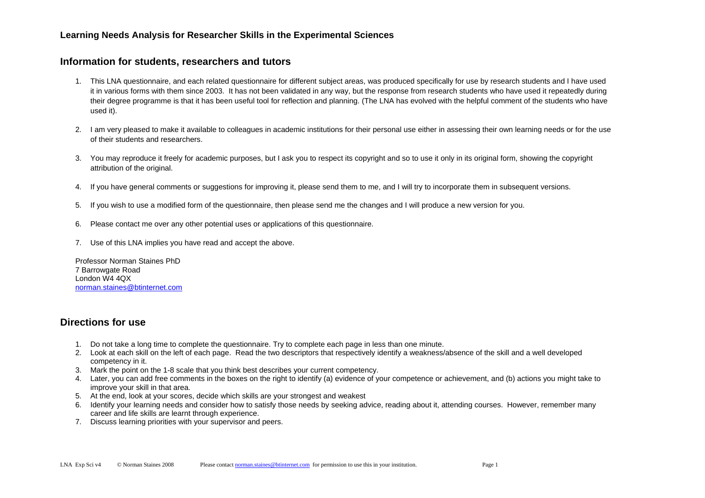#### **Information for students, researchers and tutors**

- 1. This LNA questionnaire, and each related questionnaire for different subject areas, was produced specifically for use by research students and I have used it in various forms with them since 2003. It has not been validated in any way, but the response from research students who have used it repeatedly during their degree programme is that it has been useful tool for reflection and planning. (The LNA has evolved with the helpful comment of the students who have used it).
- 2. I am very pleased to make it available to colleagues in academic institutions for their personal use either in assessing their own learning needs or for the use of their students and researchers.
- 3. You may reproduce it freely for academic purposes, but I ask you to respect its copyright and so to use it only in its original form, showing the copyright attribution of the original.
- 4. If you have general comments or suggestions for improving it, please send them to me, and I will try to incorporate them in subsequent versions.
- 5. If you wish to use a modified form of the questionnaire, then please send me the changes and I will produce a new version for you.
- 6. Please contact me over any other potential uses or applications of this questionnaire.
- 7. Use of this LNA implies you have read and accept the above.

Professor Norman Staines PhD 7 Barrowgate Road London W4 4QX norman.staines@btinternet.com

#### **Directions for use**

- 1. Do not take a long time to complete the questionnaire. Try to complete each page in less than one minute.
- 2. Look at each skill on the left of each page. Read the two descriptors that respectively identify a weakness/absence of the skill and a well developed competency in it.
- 3. Mark the point on the 1-8 scale that you think best describes your current competency.
- 4. Later, you can add free comments in the boxes on the right to identify (a) evidence of your competence or achievement, and (b) actions you might take to improve your skill in that area.
- 5. At the end, look at your scores, decide which skills are your strongest and weakest
- 6. Identify your learning needs and consider how to satisfy those needs by seeking advice, reading about it, attending courses. However, remember many career and life skills are learnt through experience.
- 7. Discuss learning priorities with your supervisor and peers.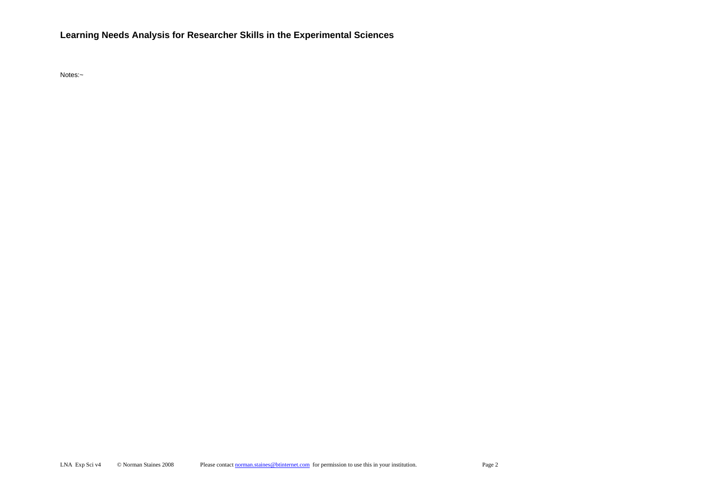Notes:~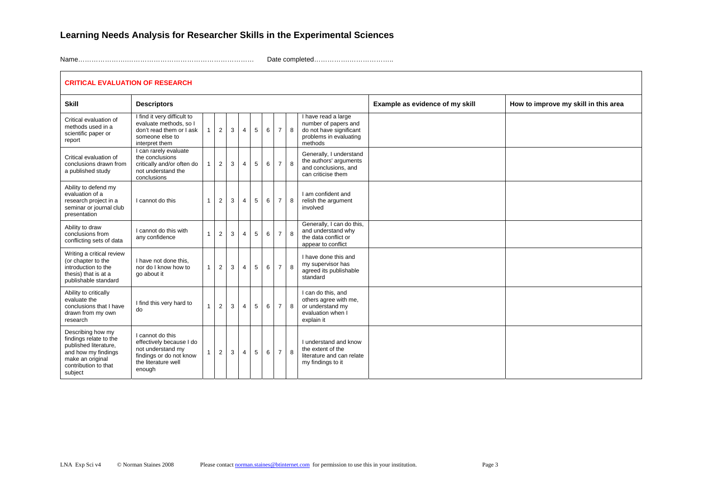$\Gamma$ 

Name………………….………………………………………………… Date completed…………….………………..

|                                                                                                                                                    | <b>CRITICAL EVALUATION OF RESEARCH</b>                                                                                        |  |                |   |                |                |   |                |   |                                                                                                             |                                 |                                      |  |  |
|----------------------------------------------------------------------------------------------------------------------------------------------------|-------------------------------------------------------------------------------------------------------------------------------|--|----------------|---|----------------|----------------|---|----------------|---|-------------------------------------------------------------------------------------------------------------|---------------------------------|--------------------------------------|--|--|
| <b>Skill</b>                                                                                                                                       | <b>Descriptors</b>                                                                                                            |  |                |   |                |                |   |                |   |                                                                                                             | Example as evidence of my skill | How to improve my skill in this area |  |  |
| Critical evaluation of<br>methods used in a<br>scientific paper or<br>report                                                                       | I find it very difficult to<br>evaluate methods, so I<br>don't read them or I ask<br>someone else to<br>interpret them        |  | 2              | 3 | $\overline{4}$ | 5              | 6 | 7 <sup>1</sup> | 8 | I have read a large<br>number of papers and<br>do not have significant<br>problems in evaluating<br>methods |                                 |                                      |  |  |
| Critical evaluation of<br>conclusions drawn from<br>a published study                                                                              | I can rarely evaluate<br>the conclusions<br>critically and/or often do<br>not understand the<br>conclusions                   |  | $\overline{2}$ | 3 | $\overline{4}$ | 5              | 6 | 7 <sup>1</sup> | 8 | Generally, I understand<br>the authors' arguments<br>and conclusions, and<br>can criticise them             |                                 |                                      |  |  |
| Ability to defend my<br>evaluation of a<br>research project in a<br>seminar or journal club<br>presentation                                        | I cannot do this                                                                                                              |  | $\overline{2}$ | 3 | $\overline{4}$ | 5              | 6 | $\overline{7}$ | 8 | I am confident and<br>relish the argument<br>involved                                                       |                                 |                                      |  |  |
| Ability to draw<br>conclusions from<br>conflicting sets of data                                                                                    | I cannot do this with<br>any confidence                                                                                       |  | 2              | 3 | $\overline{4}$ | 5              | 6 | $\overline{7}$ | 8 | Generally, I can do this,<br>and understand why<br>the data conflict or<br>appear to conflict               |                                 |                                      |  |  |
| Writing a critical review<br>(or chapter to the<br>introduction to the<br>thesis) that is at a<br>publishable standard                             | I have not done this.<br>nor do I know how to<br>go about it                                                                  |  | $\overline{2}$ | 3 | $\overline{4}$ | 5 <sup>5</sup> | 6 | 7 <sup>1</sup> | 8 | I have done this and<br>my supervisor has<br>agreed its publishable<br>standard                             |                                 |                                      |  |  |
| Ability to critically<br>evaluate the<br>conclusions that I have<br>drawn from my own<br>research                                                  | I find this very hard to<br>do                                                                                                |  | $\overline{2}$ | 3 | $\overline{4}$ | 5              | 6 | 7 <sup>1</sup> | 8 | I can do this, and<br>others agree with me,<br>or understand my<br>evaluation when I<br>explain it          |                                 |                                      |  |  |
| Describing how my<br>findings relate to the<br>published literature,<br>and how my findings<br>make an original<br>contribution to that<br>subject | I cannot do this<br>effectively because I do<br>not understand my<br>findings or do not know<br>the literature well<br>enough |  | 2              | 3 | $\overline{4}$ | 5              | 6 | 7 <sup>1</sup> | 8 | I understand and know<br>the extent of the<br>literature and can relate<br>my findings to it                |                                 |                                      |  |  |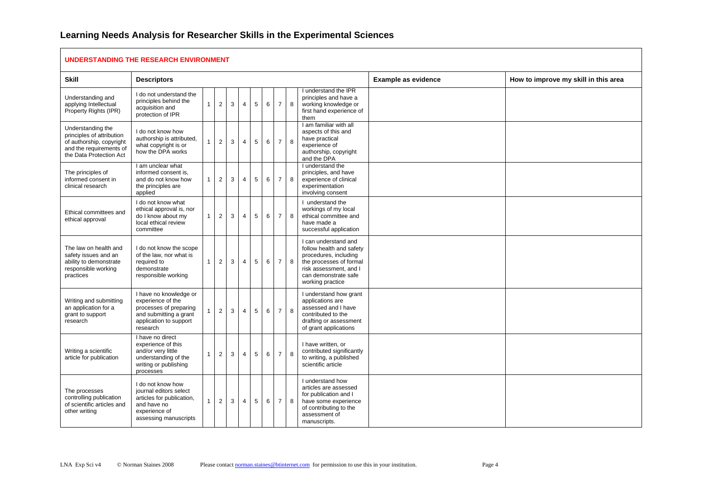| UNDERSTANDING THE RESEARCH ENVIRONMENT                                                                                           |                                                                                                                                       |              |                |              |                |   |   |                |   |                                                                                                                                                                            |                            |                                      |  |
|----------------------------------------------------------------------------------------------------------------------------------|---------------------------------------------------------------------------------------------------------------------------------------|--------------|----------------|--------------|----------------|---|---|----------------|---|----------------------------------------------------------------------------------------------------------------------------------------------------------------------------|----------------------------|--------------------------------------|--|
| <b>Skill</b>                                                                                                                     | <b>Descriptors</b>                                                                                                                    |              |                |              |                |   |   |                |   |                                                                                                                                                                            | <b>Example as evidence</b> | How to improve my skill in this area |  |
| Understanding and<br>applying Intellectual<br>Property Rights (IPR)                                                              | I do not understand the<br>principles behind the<br>acquisition and<br>protection of IPR                                              | 1            | $\overline{2}$ | 3            | $\overline{4}$ | 5 | 6 | $\overline{7}$ | 8 | I understand the IPR<br>principles and have a<br>working knowledge or<br>first hand experience of<br>them                                                                  |                            |                                      |  |
| Understanding the<br>principles of attribution<br>of authorship, copyright<br>and the requirements of<br>the Data Protection Act | I do not know how<br>authorship is attributed,<br>what copyright is or<br>how the DPA works                                           | 1            | $\overline{2}$ | 3            | 4              | 5 | 6 | $\overline{7}$ | 8 | I am familiar with all<br>aspects of this and<br>have practical<br>experience of<br>authorship, copyright<br>and the DPA                                                   |                            |                                      |  |
| The principles of<br>informed consent in<br>clinical research                                                                    | I am unclear what<br>informed consent is,<br>and do not know how<br>the principles are<br>applied                                     | $\mathbf{1}$ | $\overline{2}$ | 3            | $\overline{4}$ | 5 | 6 | $\overline{7}$ | 8 | I understand the<br>principles, and have<br>experience of clinical<br>experimentation<br>involving consent                                                                 |                            |                                      |  |
| Ethical committees and<br>ethical approval                                                                                       | I do not know what<br>ethical approval is, nor<br>do I know about my<br>local ethical review<br>committee                             | $\mathbf{1}$ | $\overline{2}$ | $\mathbf{3}$ | $\overline{4}$ | 5 | 6 | $\overline{7}$ | 8 | I understand the<br>workings of my local<br>ethical committee and<br>have made a<br>successful application                                                                 |                            |                                      |  |
| The law on health and<br>safety issues and an<br>ability to demonstrate<br>responsible working<br>practices                      | I do not know the scope<br>of the law, nor what is<br>required to<br>demonstrate<br>responsible working                               | $\mathbf{1}$ | $\overline{2}$ | 3            | $\overline{4}$ | 5 | 6 | $\overline{7}$ | 8 | I can understand and<br>follow health and safety<br>procedures, including<br>the processes of formal<br>risk assessment, and I<br>can demonstrate safe<br>working practice |                            |                                      |  |
| Writing and submitting<br>an application for a<br>grant to support<br>research                                                   | I have no knowledge or<br>experience of the<br>processes of preparing<br>and submitting a grant<br>application to support<br>research | 1            | $\sqrt{2}$     | 3            | $\overline{4}$ | 5 | 6 | $\overline{7}$ | 8 | I understand how grant<br>applications are<br>assessed and I have<br>contributed to the<br>drafting or assessment<br>of grant applications                                 |                            |                                      |  |
| Writing a scientific<br>article for publication                                                                                  | I have no direct<br>experience of this<br>and/or very little<br>understanding of the<br>writing or publishing<br>processes            | $\mathbf{1}$ | $\overline{2}$ | 3            | $\overline{4}$ | 5 | 6 | $\overline{7}$ | 8 | I have written, or<br>contributed significantly<br>to writing, a published<br>scientific article                                                                           |                            |                                      |  |
| The processes<br>controlling publication<br>of scientific articles and<br>other writing                                          | I do not know how<br>journal editors select<br>articles for publication,<br>and have no<br>experience of<br>assessing manuscripts     | 1            | $\overline{2}$ | 3            | $\overline{4}$ | 5 | 6 | $\overline{7}$ | 8 | I understand how<br>articles are assessed<br>for publication and I<br>have some experience<br>of contributing to the<br>assessment of<br>manuscripts.                      |                            |                                      |  |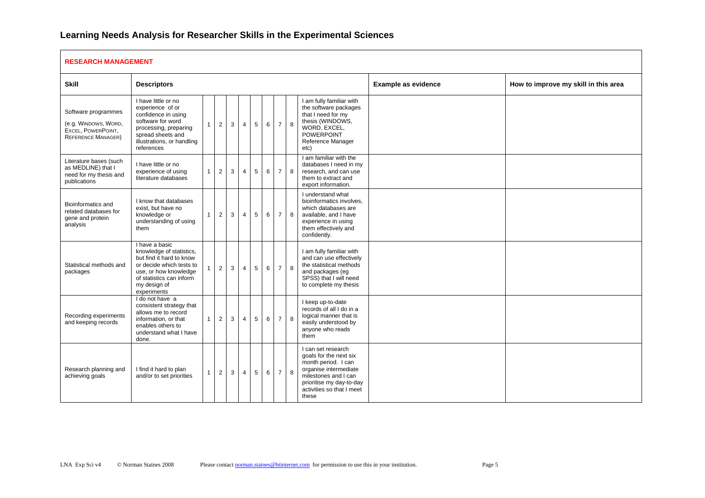#### **RESEARCH MANAGEMENT**

| REJEARUM MANAUEMEN I                                                                           |                                                                                                                                                                                        |              |                |              |                |                 |   |                |   |                                                                                                                                                                                        |                            |                                      |  |  |
|------------------------------------------------------------------------------------------------|----------------------------------------------------------------------------------------------------------------------------------------------------------------------------------------|--------------|----------------|--------------|----------------|-----------------|---|----------------|---|----------------------------------------------------------------------------------------------------------------------------------------------------------------------------------------|----------------------------|--------------------------------------|--|--|
| <b>Skill</b>                                                                                   | <b>Descriptors</b>                                                                                                                                                                     |              |                |              |                |                 |   |                |   |                                                                                                                                                                                        | <b>Example as evidence</b> | How to improve my skill in this area |  |  |
| Software programmes<br>(e.g. WINDOWS, WORD,<br>EXCEL, POWERPOINT,<br><b>REFERENCE MANAGER)</b> | I have little or no<br>experience of or<br>confidence in using<br>software for word<br>processing, preparing<br>spread sheets and<br>illustrations, or handling<br>references          | $\mathbf{1}$ | $\overline{2}$ | $\mathbf{3}$ | $\overline{4}$ | $5\overline{5}$ | 6 | $\overline{7}$ | 8 | I am fully familiar with<br>the software packages<br>that I need for my<br>thesis (WINDOWS,<br>WORD, EXCEL,<br><b>POWERPOINT</b><br>Reference Manager<br>etc)                          |                            |                                      |  |  |
| Literature bases (such<br>as MEDLINE) that I<br>need for my thesis and<br>publications         | I have little or no<br>experience of using<br>literature databases                                                                                                                     | $\mathbf{1}$ | $\overline{2}$ | 3            | $\overline{4}$ | $5^{\circ}$     | 6 | $\overline{7}$ | 8 | I am familiar with the<br>databases I need in my<br>research, and can use<br>them to extract and<br>export information.                                                                |                            |                                      |  |  |
| Bioinformatics and<br>related databases for<br>gene and protein<br>analysis                    | I know that databases<br>exist, but have no<br>knowledge or<br>understanding of using<br>them                                                                                          | $\mathbf{1}$ | $\overline{2}$ | 3            | $\overline{4}$ | $5^{\circ}$     | 6 | $\overline{7}$ | 8 | I understand what<br>bioinformatics involves.<br>which databases are<br>available, and I have<br>experience in using<br>them effectively and<br>confidently.                           |                            |                                      |  |  |
| Statistical methods and<br>packages                                                            | I have a basic<br>knowledge of statistics,<br>but find it hard to know<br>or decide which tests to<br>use, or how knowledge<br>of statistics can inform<br>my design of<br>experiments |              | $\overline{2}$ | 3            | $\overline{4}$ | 5               | 6 | $\overline{7}$ | 8 | I am fully familiar with<br>and can use effectively<br>the statistical methods<br>and packages (eg<br>SPSS) that I will need<br>to complete my thesis                                  |                            |                                      |  |  |
| Recording experiments<br>and keeping records                                                   | I do not have a<br>consistent strategy that<br>allows me to record<br>information, or that<br>enables others to<br>understand what I have<br>done.                                     | $\mathbf{1}$ | 2              | 3            | $\overline{4}$ | 5               | 6 | $\overline{7}$ | 8 | I keep up-to-date<br>records of all I do in a<br>logical manner that is<br>easily understood by<br>anyone who reads<br>them                                                            |                            |                                      |  |  |
| Research planning and<br>achieving goals                                                       | I find it hard to plan<br>and/or to set priorities                                                                                                                                     | $\mathbf{1}$ | $\overline{2}$ | 3            | $\overline{4}$ | 5               | 6 | $\overline{7}$ | 8 | I can set research<br>goals for the next six<br>month period. I can<br>organise intermediate<br>milestones and I can<br>prioritise my day-to-day<br>activities so that I meet<br>these |                            |                                      |  |  |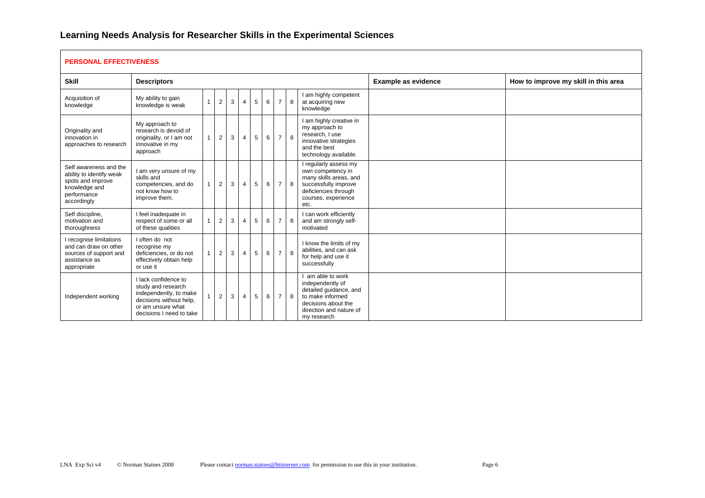#### **PERSONAL EFFECTIVENESS**

| <b>Skill</b>                                                                                                           | <b>Descriptors</b>                                                                                                                               |              |                |   |                |   |   |                |   |                                                                                                                                                     | <b>Example as evidence</b> | How to improve my skill in this area |  |  |
|------------------------------------------------------------------------------------------------------------------------|--------------------------------------------------------------------------------------------------------------------------------------------------|--------------|----------------|---|----------------|---|---|----------------|---|-----------------------------------------------------------------------------------------------------------------------------------------------------|----------------------------|--------------------------------------|--|--|
| Acquisition of<br>knowledge                                                                                            | My ability to gain<br>knowledge is weak                                                                                                          | $\mathbf{1}$ | $\overline{2}$ | 3 | $\overline{4}$ | 5 | 6 | $\overline{7}$ | 8 | I am highly competent<br>at acquiring new<br>knowledge                                                                                              |                            |                                      |  |  |
| Originality and<br>innovation in<br>approaches to research                                                             | My approach to<br>research is devoid of<br>originality, or I am not<br>innovative in my<br>approach                                              | 1            | $\overline{2}$ | 3 | $\overline{4}$ | 5 | 6 | $\overline{7}$ | 8 | I am highly creative in<br>my approach to<br>research. I use<br>innovative strategies<br>and the best<br>technology available.                      |                            |                                      |  |  |
| Self awareness and the<br>ability to identify weak<br>spots and improve<br>knowledge and<br>performance<br>accordingly | I am very unsure of my<br>skills and<br>competencies, and do<br>not know how to<br>improve them.                                                 | $\mathbf{1}$ | $\overline{2}$ | 3 | $\overline{4}$ | 5 | 6 | $\overline{7}$ | 8 | I regularly assess my<br>own competency in<br>many skills areas, and<br>successfully improve<br>deficiencies through<br>courses, experience<br>etc. |                            |                                      |  |  |
| Self discipline,<br>motivation and<br>thoroughness                                                                     | I feel inadequate in<br>respect of some or all<br>of these qualities                                                                             | 1            | $\overline{2}$ | 3 | $\overline{4}$ | 5 | 6 | $\overline{7}$ | 8 | I can work efficiently<br>and am strongly self-<br>motivated                                                                                        |                            |                                      |  |  |
| I recognise limitations<br>and can draw on other<br>sources of support and<br>assistance as<br>appropriate             | I often do not<br>recognise my<br>deficiencies, or do not<br>effectively obtain help<br>or use it                                                | $\mathbf{1}$ | $\overline{2}$ | 3 | $\overline{4}$ | 5 | 6 | $\overline{7}$ | 8 | I know the limits of my<br>abilities, and can ask<br>for help and use it<br>successfully                                                            |                            |                                      |  |  |
| Independent working                                                                                                    | I lack confidence to<br>study and research<br>independently, to make<br>decisions without help.<br>or am unsure what<br>decisions I need to take |              | 2              | 3 | $\overline{4}$ | 5 | 6 | $\overline{7}$ | 8 | am able to work<br>independently of<br>detailed quidance, and<br>to make informed<br>decisions about the<br>direction and nature of<br>my research  |                            |                                      |  |  |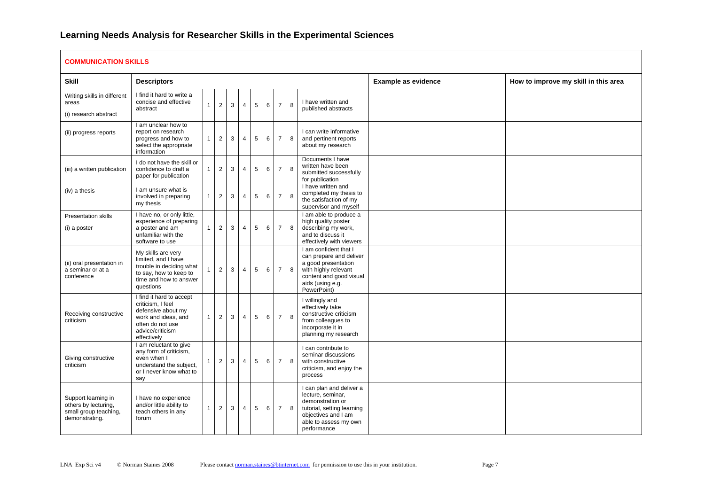#### **COMMUNICATION SKILLS**

| COMMONICATION SNILLS                                                                   |                                                                                                                                                   |              |                |   |                |   |   |                 |   |                                                                                                                                                                |                     |                                      |  |  |
|----------------------------------------------------------------------------------------|---------------------------------------------------------------------------------------------------------------------------------------------------|--------------|----------------|---|----------------|---|---|-----------------|---|----------------------------------------------------------------------------------------------------------------------------------------------------------------|---------------------|--------------------------------------|--|--|
| <b>Skill</b>                                                                           | <b>Descriptors</b>                                                                                                                                |              |                |   |                |   |   |                 |   |                                                                                                                                                                | Example as evidence | How to improve my skill in this area |  |  |
| Writing skills in different<br>areas<br>(i) research abstract                          | I find it hard to write a<br>concise and effective<br>abstract                                                                                    | $\mathbf{1}$ | $\overline{2}$ | 3 | $\overline{4}$ | 5 | 6 | $\overline{7}$  | 8 | I have written and<br>published abstracts                                                                                                                      |                     |                                      |  |  |
| (ii) progress reports                                                                  | I am unclear how to<br>report on research<br>progress and how to<br>select the appropriate<br>information                                         | $\mathbf{1}$ | $\overline{2}$ | 3 | $\overline{4}$ | 5 | 6 | $\overline{7}$  | 8 | I can write informative<br>and pertinent reports<br>about my research                                                                                          |                     |                                      |  |  |
| (iii) a written publication                                                            | I do not have the skill or<br>confidence to draft a<br>paper for publication                                                                      | $\mathbf{1}$ | $\overline{2}$ | 3 | 4              | 5 | 6 | $\overline{7}$  | 8 | Documents I have<br>written have been<br>submitted successfully<br>for publication                                                                             |                     |                                      |  |  |
| (iv) a thesis                                                                          | I am unsure what is<br>involved in preparing<br>my thesis                                                                                         | $\mathbf{1}$ | $\overline{2}$ | 3 | $\overline{4}$ | 5 | 6 | $\overline{7}$  | 8 | I have written and<br>completed my thesis to<br>the satisfaction of my<br>supervisor and myself                                                                |                     |                                      |  |  |
| Presentation skills<br>(i) a poster                                                    | I have no, or only little,<br>experience of preparing<br>a poster and am<br>unfamiliar with the<br>software to use                                | 1            | 2              | 3 | $\overline{4}$ | 5 | 6 | $\overline{7}$  | 8 | I am able to produce a<br>high quality poster<br>describing my work,<br>and to discuss it<br>effectively with viewers                                          |                     |                                      |  |  |
| (ii) oral presentation in<br>a seminar or at a<br>conference                           | My skills are very<br>limited, and I have<br>trouble in deciding what<br>to say, how to keep to<br>time and how to answer<br>questions            | $\mathbf{1}$ | $\overline{2}$ | 3 | $\overline{4}$ | 5 | 6 | $\overline{7}$  | 8 | I am confident that I<br>can prepare and deliver<br>a good presentation<br>with highly relevant<br>content and good visual<br>aids (using e.g.<br>PowerPoint)  |                     |                                      |  |  |
| Receiving constructive<br>criticism                                                    | I find it hard to accept<br>criticism, I feel<br>defensive about my<br>work and ideas, and<br>often do not use<br>advice/criticism<br>effectively | $\mathbf{1}$ | $\overline{2}$ | 3 | $\overline{4}$ | 5 | 6 | $\overline{7}$  | 8 | I willingly and<br>effectively take<br>constructive criticism<br>from colleagues to<br>incorporate it in<br>planning my research                               |                     |                                      |  |  |
| Giving constructive<br>criticism                                                       | I am reluctant to give<br>any form of criticism,<br>even when I<br>understand the subject,<br>or I never know what to<br>say                      | $\mathbf{1}$ | $\overline{2}$ | 3 | $\overline{4}$ | 5 | 6 | $\overline{7}$  | 8 | I can contribute to<br>seminar discussions<br>with constructive<br>criticism, and enjoy the<br>process                                                         |                     |                                      |  |  |
| Support learning in<br>others by lecturing,<br>small group teaching,<br>demonstrating. | I have no experience<br>and/or little ability to<br>teach others in any<br>forum                                                                  | $\mathbf{1}$ | $\overline{2}$ | 3 | $\overline{4}$ | 5 | 6 | $7\overline{ }$ | 8 | I can plan and deliver a<br>lecture, seminar,<br>demonstration or<br>tutorial, setting learning<br>objectives and I am<br>able to assess my own<br>performance |                     |                                      |  |  |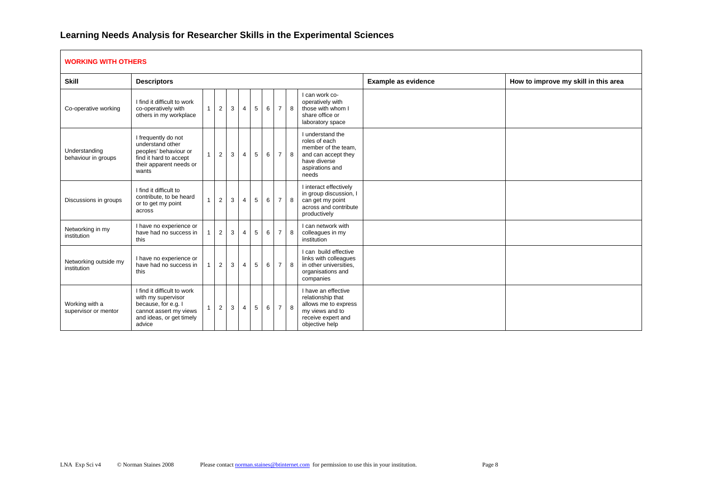#### **WORKING WITH OTHERS**

| <b>Skill</b>                           | <b>Descriptors</b>                                                                                                                       |                |                |   |                |   |   |                |   |                                                                                                                             | <b>Example as evidence</b> | How to improve my skill in this area |  |  |
|----------------------------------------|------------------------------------------------------------------------------------------------------------------------------------------|----------------|----------------|---|----------------|---|---|----------------|---|-----------------------------------------------------------------------------------------------------------------------------|----------------------------|--------------------------------------|--|--|
| Co-operative working                   | I find it difficult to work<br>co-operatively with<br>others in my workplace                                                             | $\mathbf{1}$   | $\overline{2}$ | 3 | $\overline{4}$ | 5 | 6 | $\overline{7}$ | 8 | I can work co-<br>operatively with<br>those with whom I<br>share office or<br>laboratory space                              |                            |                                      |  |  |
| Understanding<br>behaviour in groups   | I frequently do not<br>understand other<br>peoples' behaviour or<br>find it hard to accept<br>their apparent needs or<br>wants           | $\overline{1}$ | $\overline{2}$ | 3 | $\overline{4}$ | 5 | 6 | $\overline{7}$ | 8 | I understand the<br>roles of each<br>member of the team.<br>and can accept they<br>have diverse<br>aspirations and<br>needs |                            |                                      |  |  |
| Discussions in groups                  | I find it difficult to<br>contribute, to be heard<br>or to get my point<br>across                                                        | 1              | 2              | 3 | $\overline{4}$ | 5 | 6 | $\overline{7}$ | 8 | I interact effectively<br>in group discussion, I<br>can get my point<br>across and contribute<br>productively               |                            |                                      |  |  |
| Networking in my<br>institution        | I have no experience or<br>have had no success in<br>this                                                                                | 1              | $\overline{2}$ | 3 | $\overline{4}$ | 5 | 6 | $\overline{7}$ | 8 | I can network with<br>colleagues in my<br>institution                                                                       |                            |                                      |  |  |
| Networking outside my<br>institution   | I have no experience or<br>have had no success in<br>this                                                                                | -1             | 2              | 3 | $\overline{4}$ | 5 | 6 | $\overline{7}$ | 8 | I can build effective<br>links with colleagues<br>in other universities,<br>organisations and<br>companies                  |                            |                                      |  |  |
| Working with a<br>supervisor or mentor | I find it difficult to work<br>with my supervisor<br>because, for e.g. I<br>cannot assert my views<br>and ideas, or get timely<br>advice | $\mathbf{1}$   | $\overline{2}$ | 3 | $\overline{4}$ | 5 | 6 | $\overline{7}$ | 8 | I have an effective<br>relationship that<br>allows me to express<br>my views and to<br>receive expert and<br>objective help |                            |                                      |  |  |